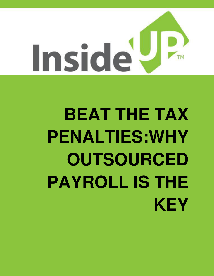

# **BEAT THE TAX PENALTIES:WHY OUTSOURCED PAYROLL IS THE KEY**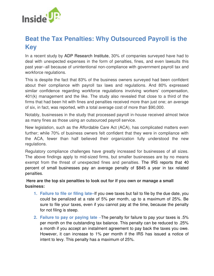

## **Beat the Tax Penalties: Why Outsourced Payroll is the Key**

In a recent study by ADP Research Institute, 30% of companies surveyed have had to deal with unexpected expenses in the form of penalties, fines, and even lawsuits this past year--all because of unintentional non-compliance with government payroll tax and workforce regulations.

This is despite the fact that 83% of the business owners surveyed had been confident about their compliance with payroll tax laws and regulations. And 80% expressed similar confidence regarding workforce regulations involving workers' compensation, 401(k) management and the like. The study also revealed that close to a third of the firms that had been hit with fines and penalties received more than just one; an average of six, in fact, was reported, with a total average cost of more than \$90,000.

Notably, businesses in the study that processed payroll in-house received almost twice as many fines as those using an outsourced payroll service.

New legislation, such as the Affordable Care Act (ACA), has complicated matters even further; while 70% of business owners felt confident that they were in compliance with the ACA, fewer than half believed their organization fully understood the new regulations.

Regulatory compliance challenges have greatly increased for businesses of all sizes. The above findings apply to mid-sized firms, but smaller businesses are by no means exempt from the threat of unexpected fines and penalties. The IRS reports that 40 percent of small businesses pay an average penalty of \$845 a year in tax related penalties.

#### **Here are the top six penalties to look out for if you own or manage a small business:**

- **1. Failure to file or filing late–**If you owe taxes but fail to file by the due date, you could be penalized at a rate of 5% per month, up to a maximum of 25%. Be sure to file your taxes, even if you cannot pay at the time, because the penalty for not filing is steep.
- **2. Failure to pay or paying late** –The penalty for failure to pay your taxes is .5% per month on the outstanding tax balance. This penalty can be reduced to .25% a month if you accept an instalment agreement to pay back the taxes you owe. However, it can increase to 1% per month if the IRS has issued a notice of intent to levy. This penalty has a maximum of 25%.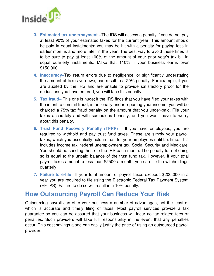

- **3. Estimated tax underpayment –**The IRS will assess a penalty if you do not pay at least 90% of your estimated taxes for the current year. This amount should be paid in equal instalments; you may be hit with a penalty for paying less in earlier months and more later in the year. The best way to avoid these fines is to be sure to pay at least 100% of the amount of your prior year's tax bill in equal quarterly instalments. Make that 110% if your business earns over \$150,000.
- **4. Inaccuracy**–Tax return errors due to negligence, or significantly understating the amount of taxes you owe, can result in a 20% penalty. For example, if you are audited by the IRS and are unable to provide satisfactory proof for the deductions you have entered, you will face this penalty.
- **5. Tax fraud** This one is huge; if the IRS finds that you have filed your taxes with the intent to commit fraud, intentionally under-reporting your income, you will be charged a 75% tax fraud penalty on the amount that you under-paid. File your taxes accurately and with scrupulous honesty, and you won't have to worry about this penalty.
- **6. Trust Fund Recovery Penalty (TFRP)** If you have employees, you are required to withhold and pay trust fund taxes. These are simply your payroll taxes, which you essentially hold in trust for your employees until tax time. This includes income tax, federal unemployment tax, Social Security and Medicare. You should be sending these to the IRS each month. The penalty for not doing so is equal to the unpaid balance of the trust fund tax. However, if your total payroll taxes amount to less than \$2500 a month, you can file the withholdings quarterly.
- **7. Failure to e-file** If your total amount of payroll taxes exceeds \$200,000 in a year you are required to file using the Electronic Federal Tax Payment System (EFTPS). Failure to do so will result in a 10% penalty.

## **How Outsourcing Payroll Can Reduce Your Risk**

Outsourcing payroll can offer your business a number of advantages, not the least of which is accurate and timely filing of taxes. Most payroll services provide a tax guarantee so you can be assured that your business will incur no tax related fees or penalties. Such providers will take full responsibility in the event that any penalties occur. This cost savings alone can easily justify the price of using an outsourced payroll provider.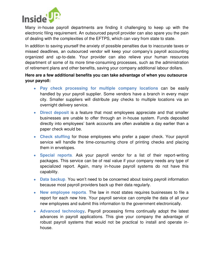

Many in-house payroll departments are finding it challenging to keep up with the electronic filing requirement. An outsourced payroll provider can also spare you the pain of dealing with the complexities of the EFTPS, which can vary from state to state.

In addition to saving yourself the anxiety of possible penalties due to inaccurate taxes or missed deadlines, an outsourced vendor will keep your company's payroll accounting organized and up-to-date. Your provider can also relieve your human resources department of some of its more time-consuming processes, such as the administration of retirement plans and other benefits, saving your company additional labour dollars.

#### **Here are a few additional benefits you can take advantage of when you outsource your payroll:**

- **Pay check processing for multiple company locations** can be easily handled by your payroll supplier. Some vendors have a branch in every major city. Smaller suppliers will distribute pay checks to multiple locations via an overnight delivery service.
- **Direct deposit** is a feature that most employees appreciate and that smaller businesses are unable to offer through an in-house system. Funds deposited directly into employees' bank accounts are often available a day earlier than a paper check would be.
- **Check stuffing** for those employees who prefer a paper check. Your payroll service will handle the time-consuming chore of printing checks and placing them in envelopes.
- **Special reports**. Ask your payroll vendor for a list of their report-writing packages. This service can be of real value if your company needs any type of specialized report. Again, many in-house payroll systems do not have this capability.
- **Data backup**. You won't need to be concerned about losing payroll information because most payroll providers back up their data regularly.
- **New employee reports**. The law in most states requires businesses to file a report for each new hire. Your payroll service can compile the data of all your new employees and submit this information to the government electronically.
- **Advanced technology.** Payroll processing firms continually adopt the latest advances in payroll applications. This give your company the advantage of robust payroll systems that would not be practical to install and operate inhouse.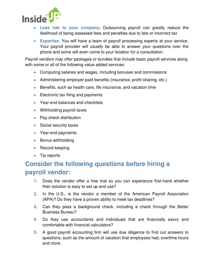

- **Less risk to your company.** Outsourcing payroll can greatly reduce the likelihood of being assessed fees and penalties due to late or incorrect tax
- **Expertise**. You will have a team of payroll processing experts at your service. Your payroll provider will usually be able to answer your questions over the phone and some will even come to your location for a consultation.

Payroll vendors may offer packages or bundles that include basic payroll services along with some or all of the following value added services:

- Computing salaries and wages, including bonuses and commissions
- Administering employer-paid benefits (insurance, profit-sharing, etc.)
- **Benefits, such as health care, life insurance, and vacation time**
- Electronic tax filing and payments
- Year-end balances and checklists
- Withholding payroll taxes
- Pay check distribution
- Social security taxes
- Year-end payments
- Bonus withholding
- $\bullet$  Record keeping
- Tip reports

# **Consider the following questions before hiring a payroll vendor:**

- **1.** Does the vendor offer a free trial so you can experience first-hand whether their solution is easy to set up and use?
- **2.** In the U.S., is the vendor a member of the American Payroll Association (APA)? Do they have a proven ability to meet tax deadlines?
- **3.** Can they pass a background check, including a check through the Better Business Bureau?
- **4.** Do they use accountants and individuals that are financially savvy and comfortable with financial calculators?
- **5.** A good payroll accounting firm will use due diligence to find out answers to questions, such as the amount of vacation that employees had, overtime hours and more.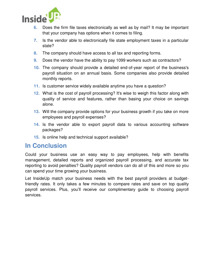

- **6.** Does the firm file taxes electronically as well as by mail? It may be important that your company has options when it comes to filing.
- **7.** Is the vendor able to electronically file state employment taxes in a particular state?
- **8.** The company should have access to all tax and reporting forms.
- **9.** Does the vendor have the ability to pay 1099 workers such as contractors?
- **10.** The company should provide a detailed end-of-year report of the business's payroll situation on an annual basis. Some companies also provide detailed monthly reports.
- **11.** Is customer service widely available anytime you have a question?
- **12.** What is the cost of payroll processing? It's wise to weigh this factor along with quality of service and features, rather than basing your choice on savings alone.
- **13.** Will the company provide options for your business growth if you take on more employees and payroll expenses?
- **14.** Is the vendor able to export payroll data to various accounting software packages?
- **15.** Is online help and technical support available?

## **In Conclusion**

Could your business use an easy way to pay employees, help with benefits management, detailed reports and organized payroll processing, and accurate tax reporting to avoid penalties? Quality payroll vendors can do all of this and more so you can spend your time growing your business.

Let InsideUp match your business needs with the best payroll providers at budgetfriendly rates. It only takes a few minutes to compare rates and save on top quality payroll services. Plus, you'll receive our complimentary guide to choosing payroll services.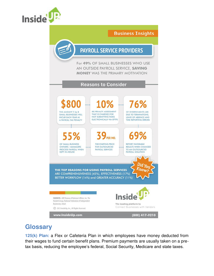

#### **Business Insights**

## **PAYROLL SERVICE PROVIDERS**

For 49% OF SMALL BUSINESSES WHO USE AN OUTSIDE PAYROLL SERVICE, SAVING **MONEY WAS THE PRIMARY MOTIVATION** 

#### **Reasons to Consider**



## **Glossary**

**125(k) Plan:** a Flex or Cafeteria Plan in which employees have money deducted from their wages to fund certain benefit plans. Premium payments are usually taken on a pretax basis, reducing the employee's federal, Social Security, Medicare and state taxes.